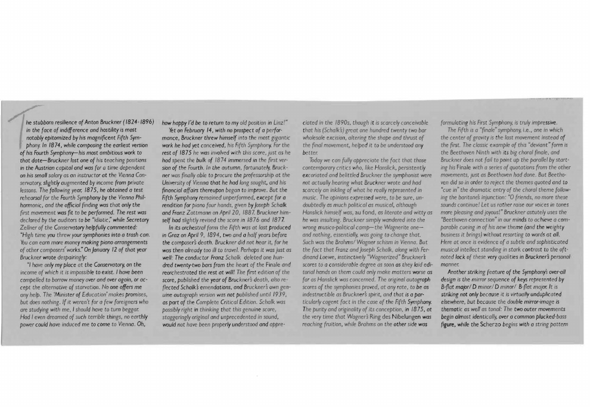*he stubborn resilience of Anton Bruckner (1824-1896)*  in *the face of indifference and hostility* is *most notably epitomized by his magnifrcent Fi fth Symphony. In 1874, while composing the earliest version of his Fourth Symphony-his* most *ambitious work* to that date-Bruckner lost one of his teaching positions in the Austrian capital and was for a time dependent on his small salary as an instructor at the Vienna Con*servatory. slightly augmented by Income from private lessons. The following year. 1875, he obtained* a test rehearsal for the Fourth Symphony by the Vienna Phil*harmonic, and the official finding was that only the frrst movement was* frt to *be performed. The rest was declared by the auditors* to *be "idiotiC," while Secretary Zellner of the Conservatory helpfully commented: "High time you threw your symphonies into a trash can.*  '!flu *can earn* more *money making piano arrangements*  of other composers' works." On *January 12* of that year *Bruckner wrote despairingly:* 

*' 1 have only my place at the Conservatory.* on *the income* of *which* It *is ImpoSSible* to exist. *Ihave been compelled* to *borrow money over and over again, or accept the alternative of starvation.* No *one offers* me *any help. The 'Minister of Education' makes promises. but does nothing. If it weren't for a few foreigners who are studying with me, I should have* to turn *beggar. Had* I *even dreamed of such temble things,* no *earthly power could have induced* me *to come to Vienna. Oh,* 

*how happy I'd be to return to my old position in Linz!"* 

Yet on *February 14*, with no prospect of a perfor*mance, Bruckner threw himself into the most gigantic work he had yet conceived. his Flfel, Symphony. For the rest of 1875 he was involved with this score, just as he had spent the bulk of 1874 immersed in the frrst ver*sion *of the Fourth .* In *the autumn. fortunately. Bruckner was (lnallyable* to *procure the professorship* at *the University of Vienna that he had long sought. and his frnancial affairs thereupon began* to *improve . But the Fifth Symphony remained unperformed. except for* a *rendition for piano four hands, given by Joseph Schalk* and Franz Zottmann on April 20, 1887. Bruckner him*self had slightly reVised the score m* 1876 *and* 1877

In its *orchestral form the Fifth was* at *last produced*  in *Graz* on *April* 9. *1894. two and* a *half years before the composers death. Bruckner did not hear it. for he was then already* too ill to *travel. Perhaps it was* just *as well: The conduc tor Franz Schalk deleted one hundred twentrtwo bars from the heart* of *the* Finale *and reorchestrated the rest at will! The frrst edition* of *the score, published the year* of *BrucknerS death. also* reflected Schalk's emendations, and Bruckner's own gen*uine autograph version was not published until 1939. as port* of *the Complete Cfltlcal Edition. Schalk was possibly right* in *thinking that this genuine score. staggeringly original and unprecedented* in *sound. would not have been properly understood and appre-* *d ated in* the *1890s. though* it is *scarcely conceivable*  that his *(SchaIH) great one hundred twenty* two *bar*  wholesale excision, altering the shape and thrust of *the* finol *movement, helped It* to *be understood any better.* 

*Today* we *can fully appreCiate the fact that those*  contemporary critics who. like Hanslick, persistently excoriated and belittled Bruckner the symphonist were *not actually hearing w/lat Bruckner wrote and had scarcc1yan inkling* of *what* he *really represented* in *music. The opinions expressed were, to be sure, undoubtedlyas much political as mUSICal, although Hansllck himself was,* au fond, as *literate and witty as he was msulting Bruckner Simply wandered mto the*  wrong musico-political camp-the Wagnerite one*and* nothing, *essentially. was gomg* to *change that.*  Such was the Brahms/ Wagner schism in Vienna. But *the fact that Franz and Joseph Schalk, along with Ferdmand Loewe, instinctively "Wagnerized" Bruckner's scores* to *a considerable degree* as *soon as chey laid edi*torial hands on them could only make matters worse as far as Hanslick was concerned. The original autograph *scores* of *the symphonies proved,* or *any rate. to* be *as*  indestructible as Bruckner's spirit, and that is a par*ticularly* cogent *fact* in *the case* of *the Fifth Symphony. The purity and originality* of *its conception, in 1875. at the very time that Wagners* Ring des Nlbelungen *was reaching* fruition . *while Brahms* on *the other side was* 

*formulating his First Symphony,* is *truly Impressive.* 

*The Fifth IS a* "frnole" *symphony.* Le.• *one m which*  the center of gravity is the last movement instead of *the first. The classic example of this "deviant" form is* the *Beethoven Nmth With Its big choral finale. and*  Bruckner does not fail to point up the parallel by start-*1ng his* Finale *with* a *series of quotations from the other movements, Just as Beethoven had done. But Beethoven did so in order* to *reject the themes quoted and* to *·cue* in" *the dramatic entry of the choral theme following the baritones injunction:* "O *friends, no more these* sounds continue! Let us rather raise our voices in tones *more pleaSing and JOYOus!' Bruckner astutely uses* the 'Beethoven *connection"* in *our minds* to *achieve a* com*parable cueing* In of *his* new *theme (and the weighty bUSiness* it *brings) without resorting to words* at *all. Here at once IS evidence* of *a subtle and sophisticated musical intellect standing in stark contrast to the oftnoted lack* of these *very qualities in Bruckners personal manner.* 

*Another striking feature* of *the Symphonys over-all de sign* IS *the mirror*sequence of *keys represented by B-flat major/ D minor/ D minor/ B-flat major. It is striking not only because* it is *Virtually unduplicoted elsewhere, but because the double mirror-image* is *thematic as well as tonal: The twa outer movements begin almost identically. over a common plucked-bass figure, while the* Scherzo *begins with a strmg pattern*